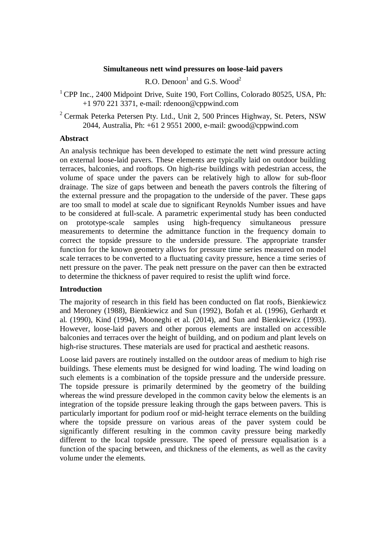### **Simultaneous nett wind pressures on loose-laid pavers**

R.O. Denoon<sup>1</sup> and G.S. Wood<sup>2</sup>

<sup>1</sup> CPP Inc., 2400 Midpoint Drive, Suite 190, Fort Collins, Colorado 80525, USA, Ph: +1 970 221 3371, e-mail: [rdenoon@cppwind.com](mailto:rdenoon@cppwind.com)

<sup>2</sup> Cermak Peterka Petersen Pty. Ltd., Unit 2, 500 Princes Highway, St. Peters, NSW 2044, Australia, Ph: +61 2 9551 2000, e-mail: gwood@cppwind.com

### **Abstract**

An analysis technique has been developed to estimate the nett wind pressure acting on external loose-laid pavers. These elements are typically laid on outdoor building terraces, balconies, and rooftops. On high-rise buildings with pedestrian access, the volume of space under the pavers can be relatively high to allow for sub-floor drainage. The size of gaps between and beneath the pavers controls the filtering of the external pressure and the propagation to the underside of the paver. These gaps are too small to model at scale due to significant Reynolds Number issues and have to be considered at full-scale. A parametric experimental study has been conducted on prototype-scale samples using high-frequency simultaneous pressure measurements to determine the admittance function in the frequency domain to correct the topside pressure to the underside pressure. The appropriate transfer function for the known geometry allows for pressure time series measured on model scale terraces to be converted to a fluctuating cavity pressure, hence a time series of nett pressure on the paver. The peak nett pressure on the paver can then be extracted to determine the thickness of paver required to resist the uplift wind force.

## **Introduction**

The majority of research in this field has been conducted on flat roofs, Bienkiewicz and Meroney (1988), Bienkiewicz and Sun (1992), Bofah et al. (1996), Gerhardt et al. (1990), Kind (1994), Mooneghi et al. (2014), and Sun and Bienkiewicz (1993). However, loose-laid pavers and other porous elements are installed on accessible balconies and terraces over the height of building, and on podium and plant levels on high-rise structures. These materials are used for practical and aesthetic reasons.

Loose laid pavers are routinely installed on the outdoor areas of medium to high rise buildings. These elements must be designed for wind loading. The wind loading on such elements is a combination of the topside pressure and the underside pressure. The topside pressure is primarily determined by the geometry of the building whereas the wind pressure developed in the common cavity below the elements is an integration of the topside pressure leaking through the gaps between pavers. This is particularly important for podium roof or mid-height terrace elements on the building where the topside pressure on various areas of the paver system could be significantly different resulting in the common cavity pressure being markedly different to the local topside pressure. The speed of pressure equalisation is a function of the spacing between, and thickness of the elements, as well as the cavity volume under the elements.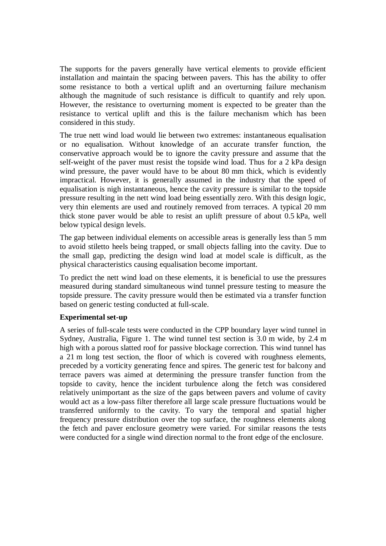The supports for the pavers generally have vertical elements to provide efficient installation and maintain the spacing between pavers. This has the ability to offer some resistance to both a vertical uplift and an overturning failure mechanism although the magnitude of such resistance is difficult to quantify and rely upon. However, the resistance to overturning moment is expected to be greater than the resistance to vertical uplift and this is the failure mechanism which has been considered in this study.

The true nett wind load would lie between two extremes: instantaneous equalisation or no equalisation. Without knowledge of an accurate transfer function, the conservative approach would be to ignore the cavity pressure and assume that the self-weight of the paver must resist the topside wind load. Thus for a 2 kPa design wind pressure, the paver would have to be about 80 mm thick, which is evidently impractical. However, it is generally assumed in the industry that the speed of equalisation is nigh instantaneous, hence the cavity pressure is similar to the topside pressure resulting in the nett wind load being essentially zero. With this design logic, very thin elements are used and routinely removed from terraces. A typical 20 mm thick stone paver would be able to resist an uplift pressure of about 0.5 kPa, well below typical design levels.

The gap between individual elements on accessible areas is generally less than 5 mm to avoid stiletto heels being trapped, or small objects falling into the cavity. Due to the small gap, predicting the design wind load at model scale is difficult, as the physical characteristics causing equalisation become important.

To predict the nett wind load on these elements, it is beneficial to use the pressures measured during standard simultaneous wind tunnel pressure testing to measure the topside pressure. The cavity pressure would then be estimated via a transfer function based on generic testing conducted at full-scale.

## **Experimental set-up**

A series of full-scale tests were conducted in the CPP boundary layer wind tunnel in Sydney, Australia, [Figure 1.](#page-2-0) The wind tunnel test section is 3.0 m wide, by 2.4 m high with a porous slatted roof for passive blockage correction. This wind tunnel has a 21 m long test section, the floor of which is covered with roughness elements, preceded by a vorticity generating fence and spires. The generic test for balcony and terrace pavers was aimed at determining the pressure transfer function from the topside to cavity, hence the incident turbulence along the fetch was considered relatively unimportant as the size of the gaps between pavers and volume of cavity would act as a low-pass filter therefore all large scale pressure fluctuations would be transferred uniformly to the cavity. To vary the temporal and spatial higher frequency pressure distribution over the top surface, the roughness elements along the fetch and paver enclosure geometry were varied. For similar reasons the tests were conducted for a single wind direction normal to the front edge of the enclosure.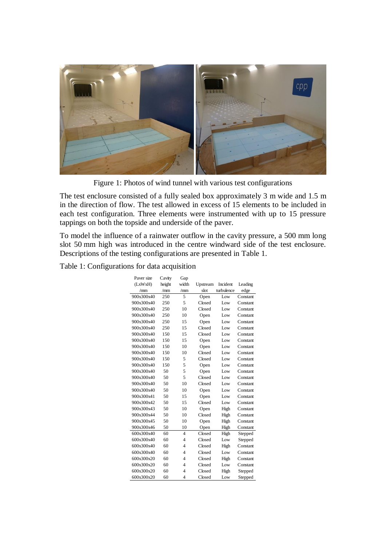

Figure 1: Photos of wind tunnel with various test configurations

<span id="page-2-0"></span>The test enclosure consisted of a fully sealed box approximately 3 m wide and 1.5 m in the direction of flow. The test allowed in excess of 15 elements to be included in each test configuration. Three elements were instrumented with up to 15 pressure tappings on both the topside and underside of the paver.

To model the influence of a rainwater outflow in the cavity pressure, a 500 mm long slot 50 mm high was introduced in the centre windward side of the test enclosure. Descriptions of the testing configurations are presented in [Table 1.](#page-2-1)

<span id="page-2-1"></span>Table 1: Configurations for data acquisition

| Paver size | Cavity | Gap            |          |            |          |
|------------|--------|----------------|----------|------------|----------|
| (LxWxH)    | height | width          | Upstream | Incident   | Leading  |
| /mm        | /mm    | /mm            | slot     | turbulence | edge     |
| 900x300x40 | 250    | 5              | Open     | Low        | Constant |
| 900x300x40 | 250    | 5              | Closed   | Low        | Constant |
| 900x300x40 | 250    | 10             | Closed   | Low        | Constant |
| 900x300x40 | 250    | 10             | Open     | Low        | Constant |
| 900x300x40 | 250    | 15             | Open     | Low        | Constant |
| 900x300x40 | 250    | 15             | Closed   | Low        | Constant |
| 900x300x40 | 150    | 15             | Closed   | Low        | Constant |
| 900x300x40 | 150    | 15             | Open     | Low        | Constant |
| 900x300x40 | 150    | 10             | Open     | Low        | Constant |
| 900x300x40 | 150    | 10             | Closed   | Low        | Constant |
| 900x300x40 | 150    | 5              | Closed   | Low        | Constant |
| 900x300x40 | 150    | 5              | Open     | Low        | Constant |
| 900x300x40 | 50     | 5              | Open     | Low        | Constant |
| 900x300x40 | 50     | 5              | Closed   | Low        | Constant |
| 900x300x40 | 50     | 10             | Closed   | Low        | Constant |
| 900x300x40 | 50     | 10             | Open     | Low        | Constant |
| 900x300x41 | 50     | 15             | Open     | Low        | Constant |
| 900x300x42 | 50     | 15             | Closed   | Low        | Constant |
| 900x300x43 | 50     | 10             | Open     | High       | Constant |
| 900x300x44 | 50     | 10             | Closed   | High       | Constant |
| 900x300x45 | 50     | 10             | Open     | High       | Constant |
| 900x300x46 | 50     | 10             | Open     | High       | Constant |
| 600x300x40 | 60     | $\overline{4}$ | Closed   | High       | Stepped  |
| 600x300x40 | 60     | $\overline{4}$ | Closed   | Low        | Stepped  |
| 600x300x40 | 60     | 4              | Closed   | High       | Constant |
| 600x300x40 | 60     | 4              | Closed   | Low        | Constant |
| 600x300x20 | 60     | 4              | Closed   | High       | Constant |
| 600x300x20 | 60     | 4              | Closed   | Low        | Constant |
| 600x300x20 | 60     | $\overline{4}$ | Closed   | High       | Stepped  |
| 600x300x20 | 60     | $\overline{4}$ | Closed   | Low        | Stepped  |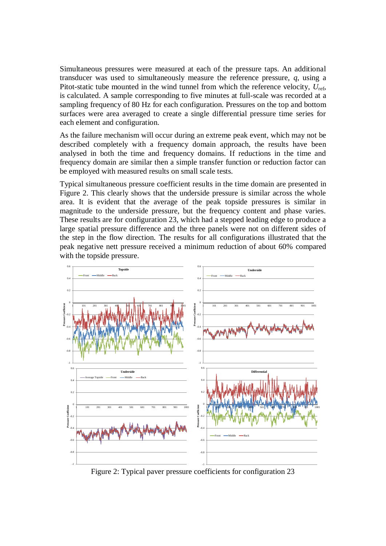Simultaneous pressures were measured at each of the pressure taps. An additional transducer was used to simultaneously measure the reference pressure, *q*, using a Pitot-static tube mounted in the wind tunnel from which the reference velocity, *U*ref, is calculated. A sample corresponding to five minutes at full-scale was recorded at a sampling frequency of 80 Hz for each configuration. Pressures on the top and bottom surfaces were area averaged to create a single differential pressure time series for each element and configuration.

As the failure mechanism will occur during an extreme peak event, which may not be described completely with a frequency domain approach, the results have been analysed in both the time and frequency domains. If reductions in the time and frequency domain are similar then a simple transfer function or reduction factor can be employed with measured results on small scale tests.

Typical simultaneous pressure coefficient results in the time domain are presented in [Figure 2.](#page-3-0) This clearly shows that the underside pressure is similar across the whole area. It is evident that the average of the peak topside pressures is similar in magnitude to the underside pressure, but the frequency content and phase varies. These results are for configuration 23, which had a stepped leading edge to produce a large spatial pressure difference and the three panels were not on different sides of the step in the flow direction. The results for all configurations illustrated that the peak negative nett pressure received a minimum reduction of about 60% compared with the topside pressure.



<span id="page-3-0"></span>Figure 2: Typical paver pressure coefficients for configuration 23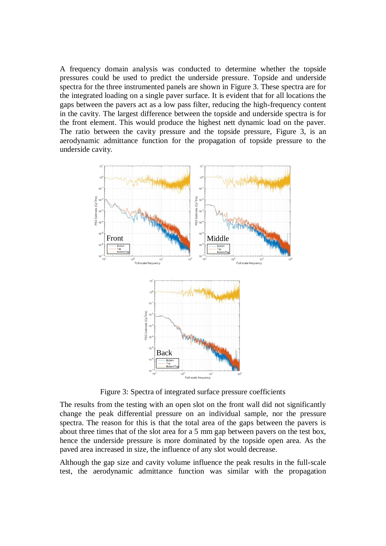A frequency domain analysis was conducted to determine whether the topside pressures could be used to predict the underside pressure. Topside and underside spectra for the three instrumented panels are shown in [Figure 3.](#page-4-0) These spectra are for the integrated loading on a single paver surface. It is evident that for all locations the gaps between the pavers act as a low pass filter, reducing the high-frequency content in the cavity. The largest difference between the topside and underside spectra is for the front element. This would produce the highest nett dynamic load on the paver. The ratio between the cavity pressure and the topside pressure, [Figure 3,](#page-4-0) is an aerodynamic admittance function for the propagation of topside pressure to the underside cavity.



Figure 3: Spectra of integrated surface pressure coefficients

<span id="page-4-0"></span>The results from the testing with an open slot on the front wall did not significantly change the peak differential pressure on an individual sample, nor the pressure spectra. The reason for this is that the total area of the gaps between the pavers is about three times that of the slot area for a 5 mm gap between pavers on the test box, hence the underside pressure is more dominated by the topside open area. As the paved area increased in size, the influence of any slot would decrease.

Although the gap size and cavity volume influence the peak results in the full-scale test, the aerodynamic admittance function was similar with the propagation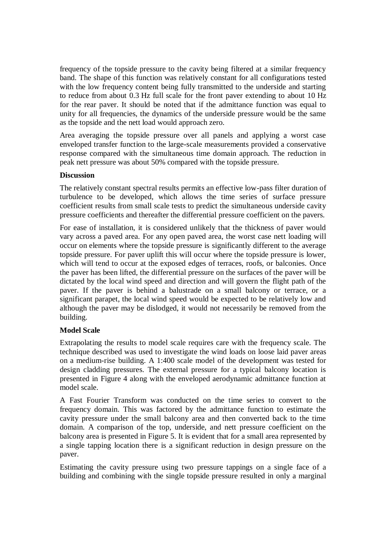frequency of the topside pressure to the cavity being filtered at a similar frequency band. The shape of this function was relatively constant for all configurations tested with the low frequency content being fully transmitted to the underside and starting to reduce from about 0.3 Hz full scale for the front paver extending to about 10 Hz for the rear paver. It should be noted that if the admittance function was equal to unity for all frequencies, the dynamics of the underside pressure would be the same as the topside and the nett load would approach zero.

Area averaging the topside pressure over all panels and applying a worst case enveloped transfer function to the large-scale measurements provided a conservative response compared with the simultaneous time domain approach. The reduction in peak nett pressure was about 50% compared with the topside pressure.

## **Discussion**

The relatively constant spectral results permits an effective low-pass filter duration of turbulence to be developed, which allows the time series of surface pressure coefficient results from small scale tests to predict the simultaneous underside cavity pressure coefficients and thereafter the differential pressure coefficient on the pavers.

For ease of installation, it is considered unlikely that the thickness of paver would vary across a paved area. For any open paved area, the worst case nett loading will occur on elements where the topside pressure is significantly different to the average topside pressure. For paver uplift this will occur where the topside pressure is lower, which will tend to occur at the exposed edges of terraces, roofs, or balconies. Once the paver has been lifted, the differential pressure on the surfaces of the paver will be dictated by the local wind speed and direction and will govern the flight path of the paver. If the paver is behind a balustrade on a small balcony or terrace, or a significant parapet, the local wind speed would be expected to be relatively low and although the paver may be dislodged, it would not necessarily be removed from the building.

# **Model Scale**

Extrapolating the results to model scale requires care with the frequency scale. The technique described was used to investigate the wind loads on loose laid paver areas on a medium-rise building. A 1:400 scale model of the development was tested for design cladding pressures. The external pressure for a typical balcony location is presented in [Figure 4](#page-6-0) along with the enveloped aerodynamic admittance function at model scale.

A Fast Fourier Transform was conducted on the time series to convert to the frequency domain. This was factored by the admittance function to estimate the cavity pressure under the small balcony area and then converted back to the time domain. A comparison of the top, underside, and nett pressure coefficient on the balcony area is presented in [Figure 5.](#page-6-1) It is evident that for a small area represented by a single tapping location there is a significant reduction in design pressure on the paver.

Estimating the cavity pressure using two pressure tappings on a single face of a building and combining with the single topside pressure resulted in only a marginal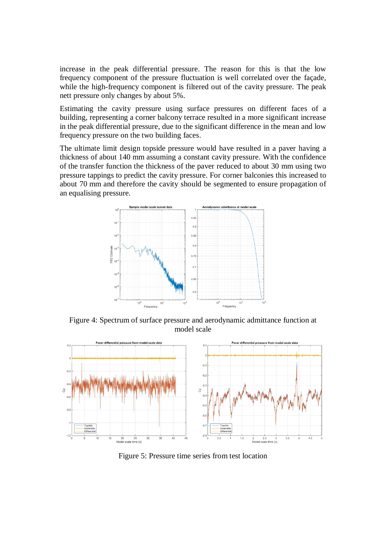increase in the peak differential pressure. The reason for this is that the low frequency component of the pressure fluctuation is well correlated over the façade, while the high-frequency component is filtered out of the cavity pressure. The peak nett pressure only changes by about 5%.

Estimating the cavity pressure using surface pressures on different faces of a building, representing a corner balcony terrace resulted in a more significant increase in the peak differential pressure, due to the significant difference in the mean and low frequency pressure on the two building faces.

The ultimate limit design topside pressure would have resulted in a paver having a thickness of about 140 mm assuming a constant cavity pressure. With the confidence of the transfer function the thickness of the paver reduced to about 30 mm using two pressure tappings to predict the cavity pressure. For corner balconies this increased to about 70 mm and therefore the cavity should be segmented to ensure propagation of an equalising pressure.



<span id="page-6-0"></span>Figure 4: Spectrum of surface pressure and aerodynamic admittance function at model scale



<span id="page-6-1"></span>Figure 5: Pressure time series from test location